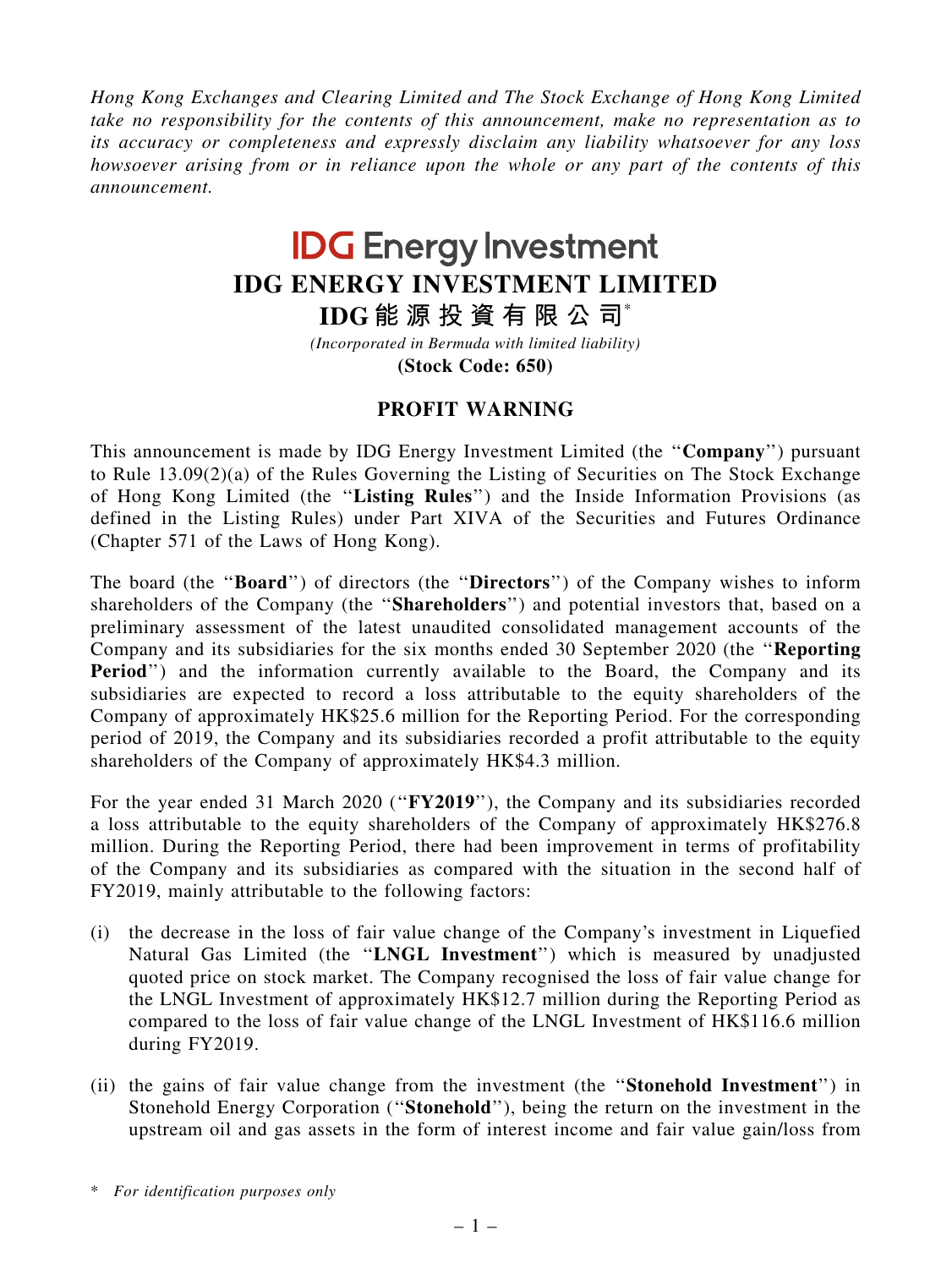Hong Kong Exchanges and Clearing Limited and The Stock Exchange of Hong Kong Limited take no responsibility for the contents of this announcement, make no representation as to its accuracy or completeness and expressly disclaim any liability whatsoever for any loss howsoever arising from or in reliance upon the whole or any part of the contents of this announcement.

## **IDG Energy Investment IDG ENERGY INVESTMENT LIMITED**

**IDG 能 源 投 資 有 限 公 司**\*

*(Incorporated in Bermuda with limited liability)*

**(Stock Code: 650)**

## PROFIT WARNING

This announcement is made by IDG Energy Investment Limited (the "**Company**") pursuant to Rule 13.09(2)(a) of the Rules Governing the Listing of Securities on The Stock Exchange of Hong Kong Limited (the ''Listing Rules'') and the Inside Information Provisions (as defined in the Listing Rules) under Part XIVA of the Securities and Futures Ordinance (Chapter 571 of the Laws of Hong Kong).

The board (the "Board") of directors (the "Directors") of the Company wishes to inform shareholders of the Company (the ''Shareholders'') and potential investors that, based on a preliminary assessment of the latest unaudited consolidated management accounts of the Company and its subsidiaries for the six months ended 30 September 2020 (the ''Reporting Period") and the information currently available to the Board, the Company and its subsidiaries are expected to record a loss attributable to the equity shareholders of the Company of approximately HK\$25.6 million for the Reporting Period. For the corresponding period of 2019, the Company and its subsidiaries recorded a profit attributable to the equity shareholders of the Company of approximately HK\$4.3 million.

For the year ended 31 March 2020 ("FY2019"), the Company and its subsidiaries recorded a loss attributable to the equity shareholders of the Company of approximately HK\$276.8 million. During the Reporting Period, there had been improvement in terms of profitability of the Company and its subsidiaries as compared with the situation in the second half of FY2019, mainly attributable to the following factors:

- (i) the decrease in the loss of fair value change of the Company's investment in Liquefied Natural Gas Limited (the ''LNGL Investment'') which is measured by unadjusted quoted price on stock market. The Company recognised the loss of fair value change for the LNGL Investment of approximately HK\$12.7 million during the Reporting Period as compared to the loss of fair value change of the LNGL Investment of HK\$116.6 million during FY2019.
- (ii) the gains of fair value change from the investment (the ''Stonehold Investment'') in Stonehold Energy Corporation (''Stonehold''), being the return on the investment in the upstream oil and gas assets in the form of interest income and fair value gain/loss from

<sup>\*</sup> For identification purposes only